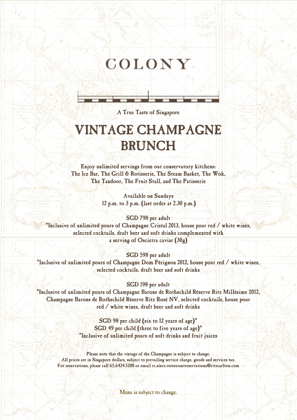# COLONY

A True Taste of Singapore

ļ

# VINTAGE CHAMPAGNE BRUNCH

Enjoy unlimited servings from our conservatory kitchens: The Ice Bar, The Grill & Rotisserie, The Steam Basket, The Wok, The Tandoor, The Fruit Stall, and The Patisserie

> Available on Sundays 12 p.m. to 3 p.m. (last order at 2.30 p.m.)

SGD 798 per adult \*Inclusive of unlimited pours of Champagne Cristal 2013, house pour red / white wines, selected cocktails, draft beer and soft drinks complemented with a serving of Oscietra caviar (30g)

SGD 598 per adult \*Inclusive of unlimited pours of Champagne Dom Pérignon 2012, house pour red / white wines, selected cocktails, draft beer and soft drinks

SGD 198 per adult

\*Inclusive of unlimited pours of Champagne Barons de Rothschild Réserve Ritz Millésime 2012, Champagne Barons de Rothschild Réserve Ritz Rosé NV, selected cocktails, house pour red / white wines, draft beer and soft drinks

> SGD 98 per child (six to 12 years of age)\* SGD 49 per child (three to five years of age)\* \*Inclusive of unlimited pours of soft drinks and fruit juices

Please note that the vintage of the Champagne is subject to change. All prices are in Singapore dollars, subject to prevailing service charge, goods and services tax. For reservations, please call 65.6434.5288 or email rc.sinrz.restaurantreservations@ritzcarlton.com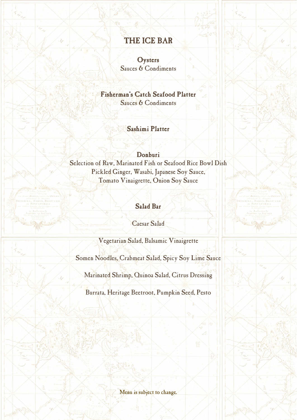# THE ICE BAR

**Oysters** Sauces & Condiments

# Fisherman's Catch Seafood Platter

Sauces & Condiments

#### Sashimi Platter

#### Donburi

Selection of Raw, Marinated Fish or Seafood Rice Bowl Dish Pickled Ginger, Wasabi, Japanese Soy Sauce, Tomato Vinaigrette, Onion Soy Sauce

## Salad Bar

Caesar Salad

Vegetarian Salad, Balsamic Vinaigrette

Somen Noodles, Crabmeat Salad, Spicy Soy Lime Sauce

Marinated Shrimp, Quinoa Salad, Citrus Dressing

Burrata, Heritage Beetroot, Pumpkin Seed, Pesto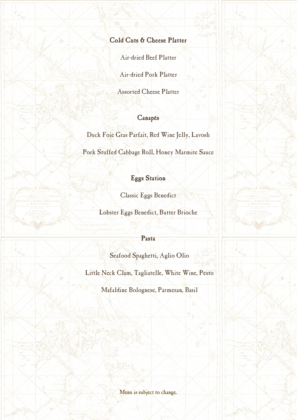## Cold Cuts & Cheese Platter

Air-dried Beef Platter

Air-dried Pork Platter

Assorted Cheese Platter

#### Canapés

Duck Foie Gras Parfait, Red Wine Jelly, Lavosh

Pork Stuffed Cabbage Roll, Honey Marmite Sauce

# Eggs Station

Classic Eggs Benedict

Lobster Eggs Benedict, Butter Brioche

#### Pasta

ľ

Seafood Spaghetti, Aglio Olio

Little Neck Clam, Tagliatelle, White Wine, Pesto

Mafaldine Bolognese, Parmesan, Basil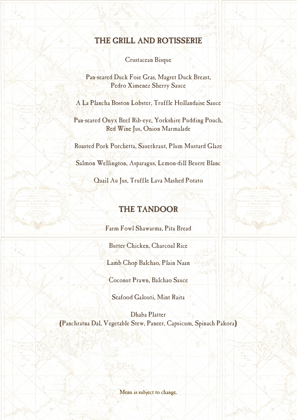# THE GRILL AND ROTISSERIE

Crustacean Bisque

Pan-seared Duck Foie Gras, Magret Duck Breast, Pedro Ximenez Sherry Sauce

A La Plancha Boston Lobster, Truffle Hollandaise Sauce

Pan-seared Onyx Beef Rib-eye, Yorkshire Pudding Pouch, Red Wine Jus, Onion Marmalade

Roasted Pork Porchetta, Sauerkraut, Plum Mustard Glaze

Salmon Wellington, Asparagus, Lemon-dill Beurre Blanc

Quail Au Jus, Truffle Lava Mashed Potato

# THE TANDOOR

 $\frac{1}{2}$ 

Farm Fowl Shawarma, Pita Bread

Butter Chicken, Charcoal Rice

Lamb Chop Balchao, Plain Naan

Coconut Prawn, Balchao Sauce

Seafood Galouti, Mint Raita

Dhaba Platter (Panchratna Dal, Vegetable Stew, Paneer, Capsicum, Spinach Pakora)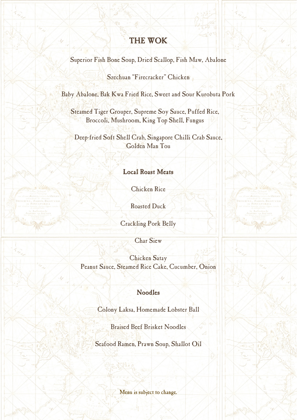# THE WOK

Superior Fish Bone Soup, Dried Scallop, Fish Maw, Abalone

Szechuan "Firecracker" Chicken

Baby Abalone, Bak Kwa Fried Rice, Sweet and Sour Kurobuta Pork

Steamed Tiger Grouper, Supreme Soy Sauce, Puffed Rice, Broccoli, Mushroom, King Top Shell, Fungus

Deep-fried Soft Shell Crab, Singapore Chilli Crab Sauce, Golden Man Tou

# Local Roast Meats

Chicken Rice

Roasted Duck

Crackling Pork Belly

Char Siew

Chicken Satay Peanut Sauce, Steamed Rice Cake, Cucumber, Onion

# Noodles

Colony Laksa, Homemade Lobster Ball

Braised Beef Brisket Noodles

Seafood Ramen, Prawn Soup, Shallot Oil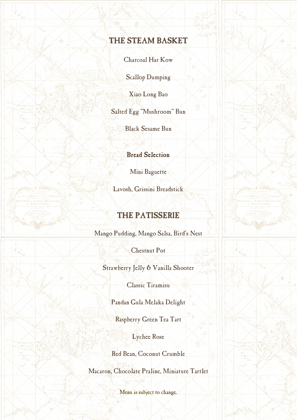# THE STEAM BASKET

Charcoal Har Kow

Scallop Dumping

Xiao Long Bao

Salted Egg "Mushroom" Bun

Black Sesame Bun

Bread Selection

Mini Baguette

Lavosh, Grissini Breadstick

# THE PATISSERIE

Mango Pudding, Mango Salsa, Bird's Nest

Chestnut Pot

Strawberry Jelly & Vanilla Shooter

Classic Tiramisu

Pandan Gula Melaka Delight

Raspberry Green Tea Tart

Lychee Rose

Red Bean, Coconut Crumble

Macaron, Chocolate Praline, Miniature Tartlet